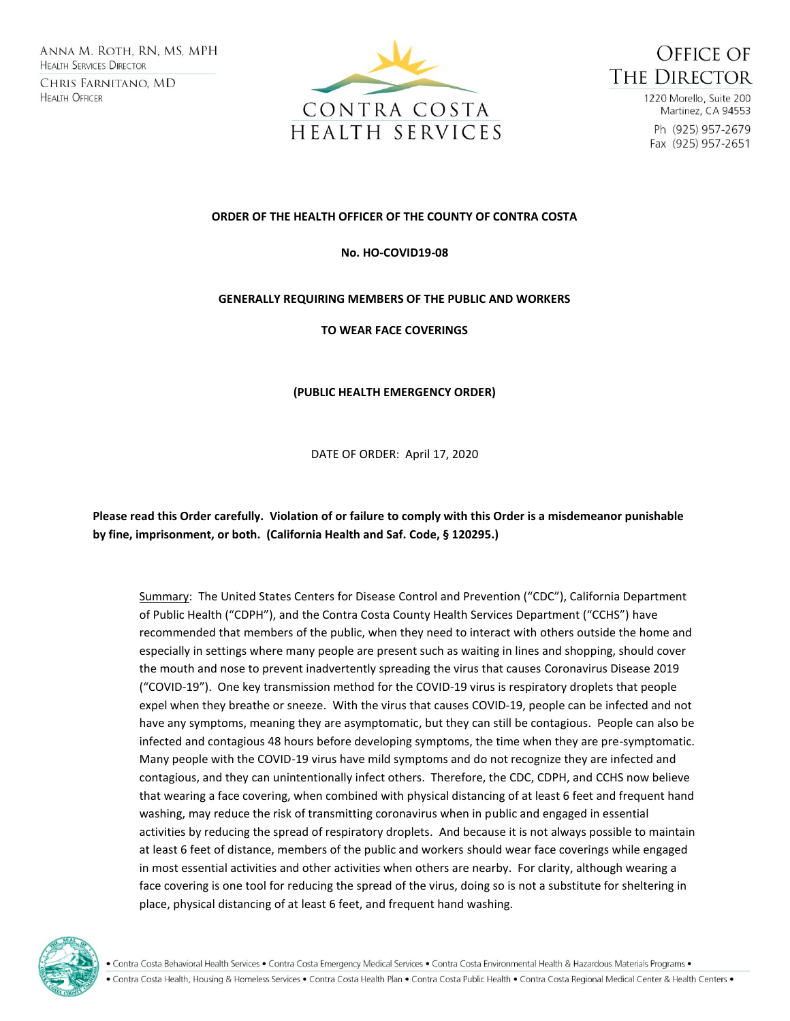Anna M. Roth, RN, MS, MPH **HEALTH SERVICES DIRECTOR** CHRIS FARNITANO, MD **HEALTH OFFICER** 





1220 Morello, Suite 200 Martinez, CA 94553 Ph (925) 957-2679 Fax (925) 957-2651

## **ORDER OF THE HEALTH OFFICER OF THE COUNTY OF CONTRA COSTA**

## **No. HO-COVID19-08**

## **GENERALLY REQUIRING MEMBERS OF THE PUBLIC AND WORKERS**

**TO WEAR FACE COVERINGS**

## **(PUBLIC HEALTH EMERGENCY ORDER)**

DATE OF ORDER: April 17, 2020

**Please read this Order carefully. Violation of or failure to comply with this Order is a misdemeanor punishable by fine, imprisonment, or both. (California Health and Saf. Code, § 120295.)**

Summary: The United States Centers for Disease Control and Prevention ("CDC"), California Department of Public Health ("CDPH"), and the Contra Costa County Health Services Department ("CCHS") have recommended that members of the public, when they need to interact with others outside the home and especially in settings where many people are present such as waiting in lines and shopping, should cover the mouth and nose to prevent inadvertently spreading the virus that causes Coronavirus Disease 2019 ("COVID-19"). One key transmission method for the COVID-19 virus is respiratory droplets that people expel when they breathe or sneeze. With the virus that causes COVID-19, people can be infected and not have any symptoms, meaning they are asymptomatic, but they can still be contagious. People can also be infected and contagious 48 hours before developing symptoms, the time when they are pre-symptomatic. Many people with the COVID-19 virus have mild symptoms and do not recognize they are infected and contagious, and they can unintentionally infect others. Therefore, the CDC, CDPH, and CCHS now believe that wearing a face covering, when combined with physical distancing of at least 6 feet and frequent hand washing, may reduce the risk of transmitting coronavirus when in public and engaged in essential activities by reducing the spread of respiratory droplets. And because it is not always possible to maintain at least 6 feet of distance, members of the public and workers should wear face coverings while engaged in most essential activities and other activities when others are nearby. For clarity, although wearing a face covering is one tool for reducing the spread of the virus, doing so is not a substitute for sheltering in place, physical distancing of at least 6 feet, and frequent hand washing.

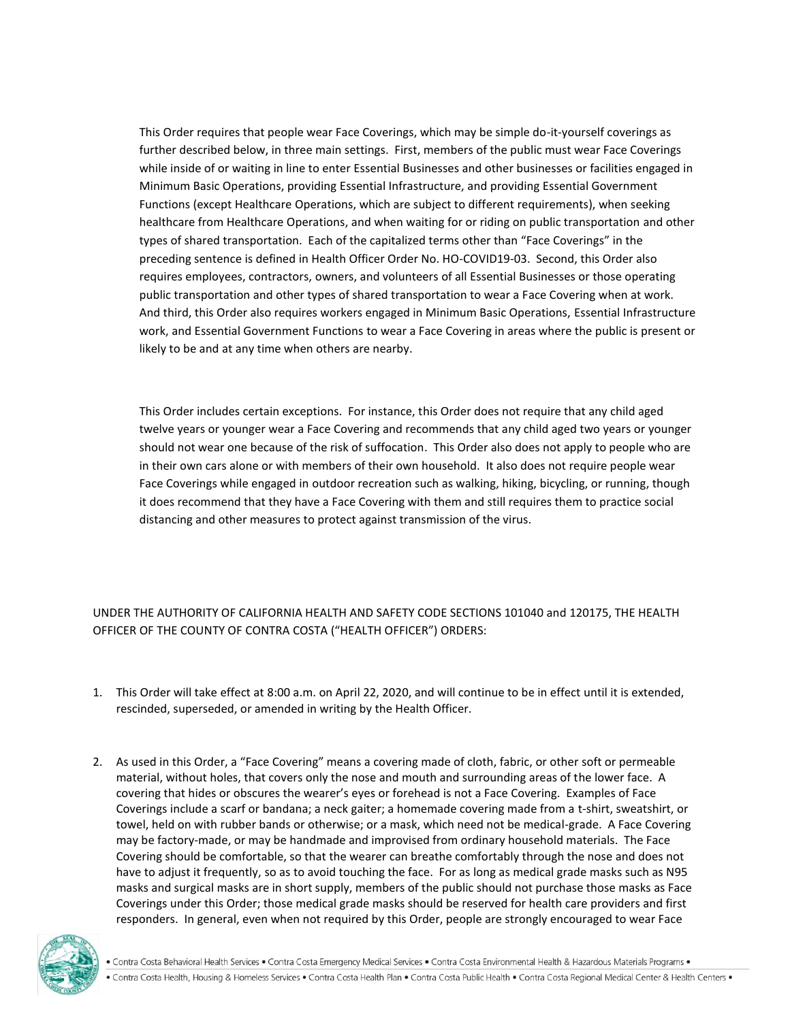This Order requires that people wear Face Coverings, which may be simple do-it-yourself coverings as further described below, in three main settings. First, members of the public must wear Face Coverings while inside of or waiting in line to enter Essential Businesses and other businesses or facilities engaged in Minimum Basic Operations, providing Essential Infrastructure, and providing Essential Government Functions (except Healthcare Operations, which are subject to different requirements), when seeking healthcare from Healthcare Operations, and when waiting for or riding on public transportation and other types of shared transportation. Each of the capitalized terms other than "Face Coverings" in the preceding sentence is defined in Health Officer Order No. HO-COVID19-03. Second, this Order also requires employees, contractors, owners, and volunteers of all Essential Businesses or those operating public transportation and other types of shared transportation to wear a Face Covering when at work. And third, this Order also requires workers engaged in Minimum Basic Operations, Essential Infrastructure work, and Essential Government Functions to wear a Face Covering in areas where the public is present or likely to be and at any time when others are nearby.

This Order includes certain exceptions. For instance, this Order does not require that any child aged twelve years or younger wear a Face Covering and recommends that any child aged two years or younger should not wear one because of the risk of suffocation. This Order also does not apply to people who are in their own cars alone or with members of their own household. It also does not require people wear Face Coverings while engaged in outdoor recreation such as walking, hiking, bicycling, or running, though it does recommend that they have a Face Covering with them and still requires them to practice social distancing and other measures to protect against transmission of the virus.

UNDER THE AUTHORITY OF CALIFORNIA HEALTH AND SAFETY CODE SECTIONS 101040 and 120175, THE HEALTH OFFICER OF THE COUNTY OF CONTRA COSTA ("HEALTH OFFICER") ORDERS:

- 1. This Order will take effect at 8:00 a.m. on April 22, 2020, and will continue to be in effect until it is extended, rescinded, superseded, or amended in writing by the Health Officer.
- 2. As used in this Order, a "Face Covering" means a covering made of cloth, fabric, or other soft or permeable material, without holes, that covers only the nose and mouth and surrounding areas of the lower face. A covering that hides or obscures the wearer's eyes or forehead is not a Face Covering. Examples of Face Coverings include a scarf or bandana; a neck gaiter; a homemade covering made from a t-shirt, sweatshirt, or towel, held on with rubber bands or otherwise; or a mask, which need not be medical-grade. A Face Covering may be factory-made, or may be handmade and improvised from ordinary household materials. The Face Covering should be comfortable, so that the wearer can breathe comfortably through the nose and does not have to adjust it frequently, so as to avoid touching the face. For as long as medical grade masks such as N95 masks and surgical masks are in short supply, members of the public should not purchase those masks as Face Coverings under this Order; those medical grade masks should be reserved for health care providers and first responders. In general, even when not required by this Order, people are strongly encouraged to wear Face



. Contra Costa Behavioral Health Services . Contra Costa Emergency Medical Services . Contra Costa Environmental Health & Hazardous Materials Programs .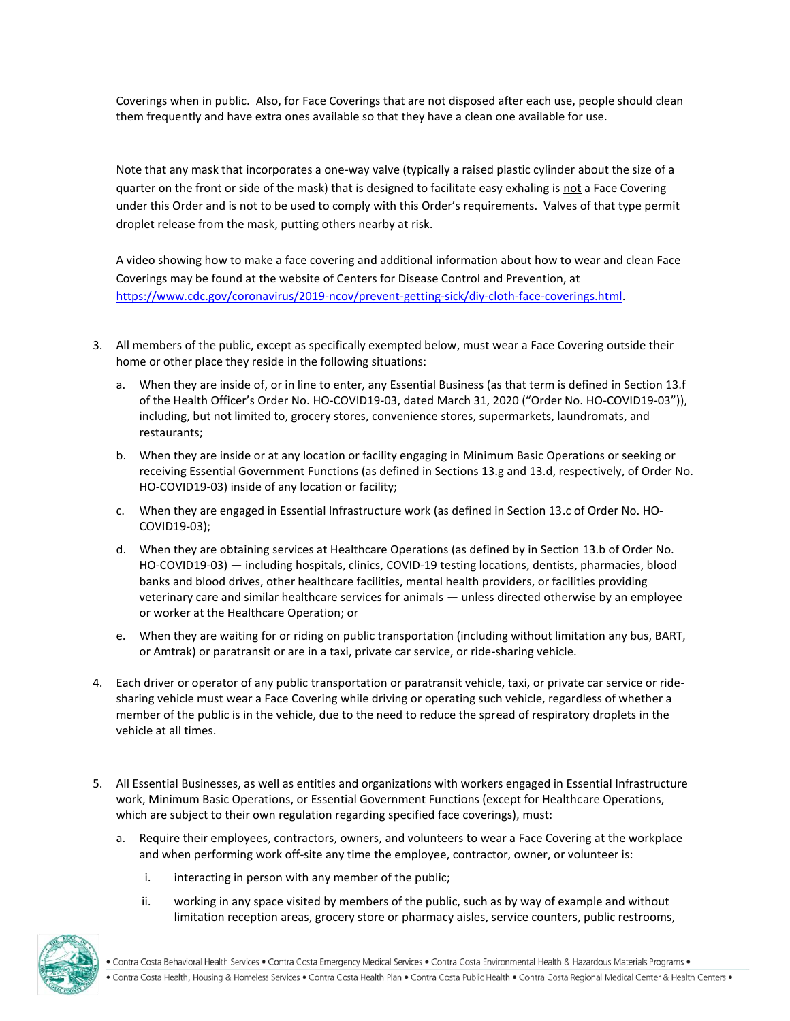Coverings when in public.Also, for Face Coverings that are not disposed after each use, people should clean them frequently and have extra ones available so that they have a clean one available for use.

Note that any mask that incorporates a one-way valve (typically a raised plastic cylinder about the size of a quarter on the front or side of the mask) that is designed to facilitate easy exhaling is not a Face Covering under this Order and is not to be used to comply with this Order's requirements. Valves of that type permit droplet release from the mask, putting others nearby at risk.

A video showing how to make a face covering and additional information about how to wear and clean Face Coverings may be found at the website of Centers for Disease Control and Prevention, at [https://www.cdc.gov/coronavirus/2019-ncov/prevent-getting-sick/diy-cloth-face-coverings.html.](https://www.cdc.gov/coronavirus/2019-ncov/prevent-getting-sick/diy-cloth-face-coverings.html)

- 3. All members of the public, except as specifically exempted below, must wear a Face Covering outside their home or other place they reside in the following situations:
	- a. When they are inside of, or in line to enter, any Essential Business (as that term is defined in Section 13.f of the Health Officer's Order No. HO-COVID19-03, dated March 31, 2020 ("Order No. HO-COVID19-03")), including, but not limited to, grocery stores, convenience stores, supermarkets, laundromats, and restaurants;
	- b. When they are inside or at any location or facility engaging in Minimum Basic Operations or seeking or receiving Essential Government Functions (as defined in Sections 13.g and 13.d, respectively, of Order No. HO-COVID19-03) inside of any location or facility;
	- c. When they are engaged in Essential Infrastructure work (as defined in Section 13.c of Order No. HO-COVID19-03);
	- d. When they are obtaining services at Healthcare Operations (as defined by in Section 13.b of Order No. HO-COVID19-03) — including hospitals, clinics, COVID-19 testing locations, dentists, pharmacies, blood banks and blood drives, other healthcare facilities, mental health providers, or facilities providing veterinary care and similar healthcare services for animals — unless directed otherwise by an employee or worker at the Healthcare Operation; or
	- e. When they are waiting for or riding on public transportation (including without limitation any bus, BART, or Amtrak) or paratransit or are in a taxi, private car service, or ride-sharing vehicle.
- 4. Each driver or operator of any public transportation or paratransit vehicle, taxi, or private car service or ridesharing vehicle must wear a Face Covering while driving or operating such vehicle, regardless of whether a member of the public is in the vehicle, due to the need to reduce the spread of respiratory droplets in the vehicle at all times.
- 5. All Essential Businesses, as well as entities and organizations with workers engaged in Essential Infrastructure work, Minimum Basic Operations, or Essential Government Functions (except for Healthcare Operations, which are subject to their own regulation regarding specified face coverings), must:
	- a. Require their employees, contractors, owners, and volunteers to wear a Face Covering at the workplace and when performing work off-site any time the employee, contractor, owner, or volunteer is:
		- i. interacting in person with any member of the public;
		- ii. working in any space visited by members of the public, such as by way of example and without limitation reception areas, grocery store or pharmacy aisles, service counters, public restrooms,



• Contra Costa Health, Housing & Homeless Services • Contra Costa Health Plan • Contra Costa Public Health • Contra Costa Regional Medical Center & Health Centers •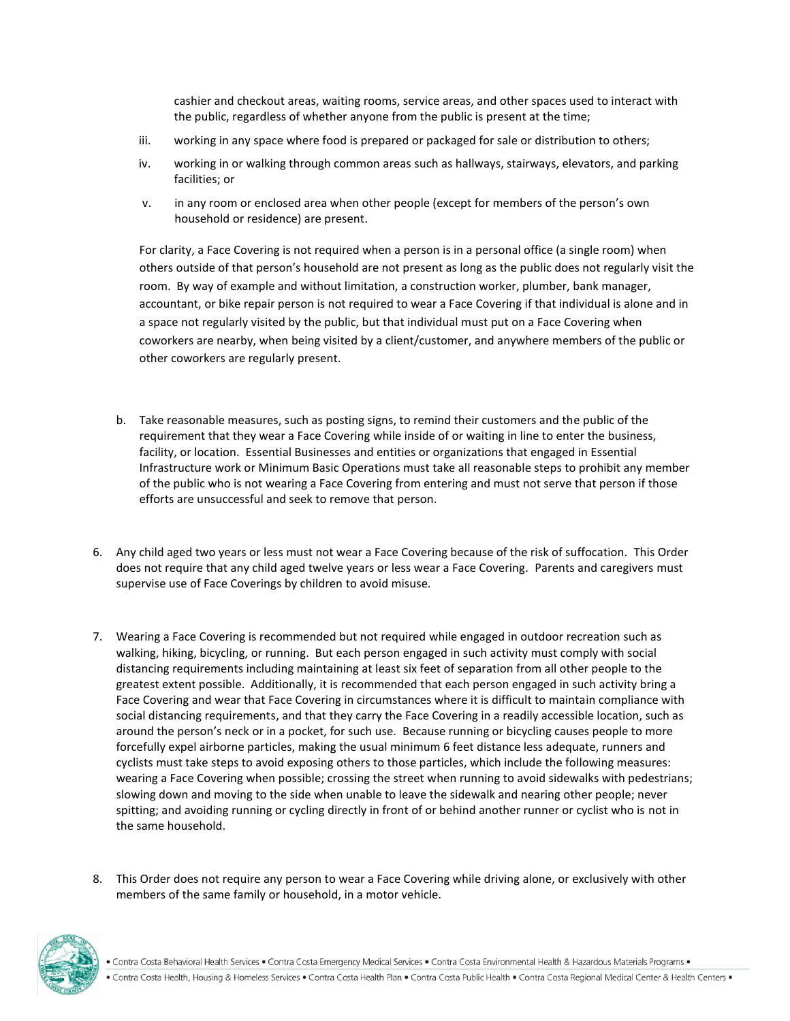cashier and checkout areas, waiting rooms, service areas, and other spaces used to interact with the public, regardless of whether anyone from the public is present at the time;

- iii. working in any space where food is prepared or packaged for sale or distribution to others;
- iv. working in or walking through common areas such as hallways, stairways, elevators, and parking facilities; or
- v. in any room or enclosed area when other people (except for members of the person's own household or residence) are present.

For clarity, a Face Covering is not required when a person is in a personal office (a single room) when others outside of that person's household are not present as long as the public does not regularly visit the room. By way of example and without limitation, a construction worker, plumber, bank manager, accountant, or bike repair person is not required to wear a Face Covering if that individual is alone and in a space not regularly visited by the public, but that individual must put on a Face Covering when coworkers are nearby, when being visited by a client/customer, and anywhere members of the public or other coworkers are regularly present.

- b. Take reasonable measures, such as posting signs, to remind their customers and the public of the requirement that they wear a Face Covering while inside of or waiting in line to enter the business, facility, or location. Essential Businesses and entities or organizations that engaged in Essential Infrastructure work or Minimum Basic Operations must take all reasonable steps to prohibit any member of the public who is not wearing a Face Covering from entering and must not serve that person if those efforts are unsuccessful and seek to remove that person.
- 6. Any child aged two years or less must not wear a Face Covering because of the risk of suffocation. This Order does not require that any child aged twelve years or less wear a Face Covering. Parents and caregivers must supervise use of Face Coverings by children to avoid misuse.
- 7. Wearing a Face Covering is recommended but not required while engaged in outdoor recreation such as walking, hiking, bicycling, or running. But each person engaged in such activity must comply with social distancing requirements including maintaining at least six feet of separation from all other people to the greatest extent possible. Additionally, it is recommended that each person engaged in such activity bring a Face Covering and wear that Face Covering in circumstances where it is difficult to maintain compliance with social distancing requirements, and that they carry the Face Covering in a readily accessible location, such as around the person's neck or in a pocket, for such use. Because running or bicycling causes people to more forcefully expel airborne particles, making the usual minimum 6 feet distance less adequate, runners and cyclists must take steps to avoid exposing others to those particles, which include the following measures: wearing a Face Covering when possible; crossing the street when running to avoid sidewalks with pedestrians; slowing down and moving to the side when unable to leave the sidewalk and nearing other people; never spitting; and avoiding running or cycling directly in front of or behind another runner or cyclist who is not in the same household.
- 8. This Order does not require any person to wear a Face Covering while driving alone, or exclusively with other members of the same family or household, in a motor vehicle.



• Contra Costa Health, Housing & Homeless Services • Contra Costa Health Plan • Contra Costa Public Health • Contra Costa Regional Medical Center & Health Centers •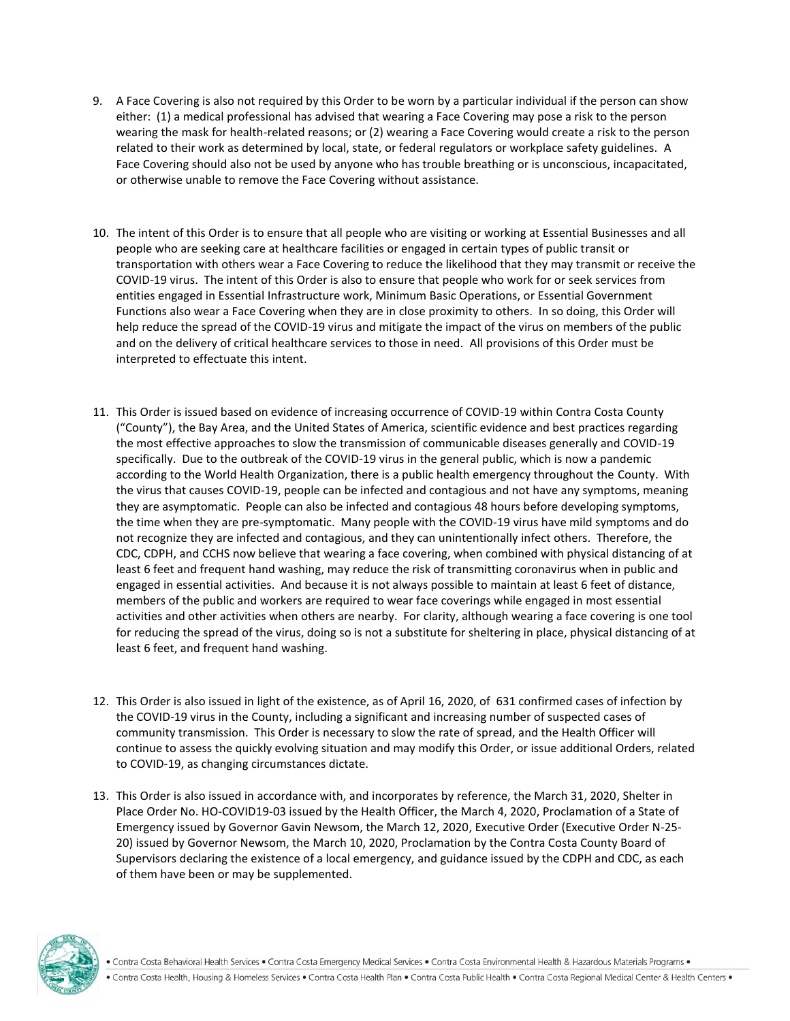- 9. A Face Covering is also not required by this Order to be worn by a particular individual if the person can show either: (1) a medical professional has advised that wearing a Face Covering may pose a risk to the person wearing the mask for health-related reasons; or (2) wearing a Face Covering would create a risk to the person related to their work as determined by local, state, or federal regulators or workplace safety guidelines. A Face Covering should also not be used by anyone who has trouble breathing or is unconscious, incapacitated, or otherwise unable to remove the Face Covering without assistance.
- 10. The intent of this Order is to ensure that all people who are visiting or working at Essential Businesses and all people who are seeking care at healthcare facilities or engaged in certain types of public transit or transportation with others wear a Face Covering to reduce the likelihood that they may transmit or receive the COVID-19 virus. The intent of this Order is also to ensure that people who work for or seek services from entities engaged in Essential Infrastructure work, Minimum Basic Operations, or Essential Government Functions also wear a Face Covering when they are in close proximity to others. In so doing, this Order will help reduce the spread of the COVID-19 virus and mitigate the impact of the virus on members of the public and on the delivery of critical healthcare services to those in need. All provisions of this Order must be interpreted to effectuate this intent.
- 11. This Order is issued based on evidence of increasing occurrence of COVID-19 within Contra Costa County ("County"), the Bay Area, and the United States of America, scientific evidence and best practices regarding the most effective approaches to slow the transmission of communicable diseases generally and COVID-19 specifically. Due to the outbreak of the COVID-19 virus in the general public, which is now a pandemic according to the World Health Organization, there is a public health emergency throughout the County. With the virus that causes COVID-19, people can be infected and contagious and not have any symptoms, meaning they are asymptomatic. People can also be infected and contagious 48 hours before developing symptoms, the time when they are pre-symptomatic. Many people with the COVID-19 virus have mild symptoms and do not recognize they are infected and contagious, and they can unintentionally infect others. Therefore, the CDC, CDPH, and CCHS now believe that wearing a face covering, when combined with physical distancing of at least 6 feet and frequent hand washing, may reduce the risk of transmitting coronavirus when in public and engaged in essential activities. And because it is not always possible to maintain at least 6 feet of distance, members of the public and workers are required to wear face coverings while engaged in most essential activities and other activities when others are nearby. For clarity, although wearing a face covering is one tool for reducing the spread of the virus, doing so is not a substitute for sheltering in place, physical distancing of at least 6 feet, and frequent hand washing.
- 12. This Order is also issued in light of the existence, as of April 16, 2020, of 631 confirmed cases of infection by the COVID-19 virus in the County, including a significant and increasing number of suspected cases of community transmission. This Order is necessary to slow the rate of spread, and the Health Officer will continue to assess the quickly evolving situation and may modify this Order, or issue additional Orders, related to COVID-19, as changing circumstances dictate.
- 13. This Order is also issued in accordance with, and incorporates by reference, the March 31, 2020, Shelter in Place Order No. HO-COVID19-03 issued by the Health Officer, the March 4, 2020, Proclamation of a State of Emergency issued by Governor Gavin Newsom, the March 12, 2020, Executive Order (Executive Order N-25- 20) issued by Governor Newsom, the March 10, 2020, Proclamation by the Contra Costa County Board of Supervisors declaring the existence of a local emergency, and guidance issued by the CDPH and CDC, as each of them have been or may be supplemented.



. Contra Costa Behavioral Health Services . Contra Costa Emergency Medical Services . Contra Costa Environmental Health & Hazardous Materials Programs .

• Contra Costa Health, Housing & Homeless Services • Contra Costa Health Plan • Contra Costa Public Health • Contra Costa Regional Medical Center & Health Centers •